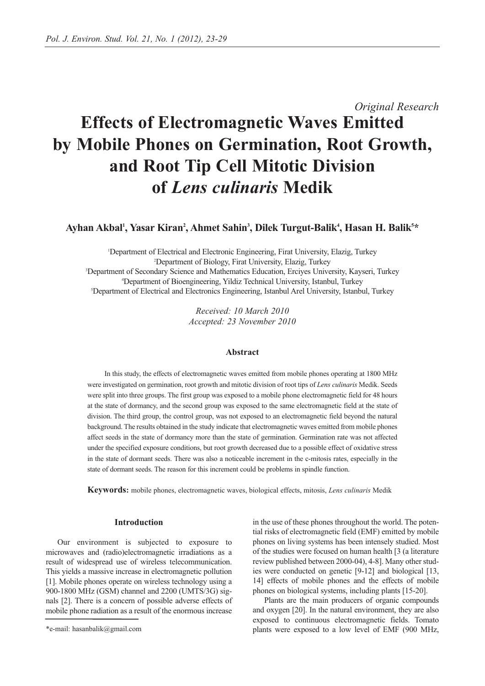# *Original Research* **Effects of Electromagnetic Waves Emitted by Mobile Phones on Germination, Root Growth, and Root Tip Cell Mitotic Division of** *Lens culinaris* **Medik**

Ayhan Akbal<sup>ı</sup>, Yasar Kiran<sup>2</sup>, Ahmet Sahin<sup>3</sup>, Dilek Turgut-Balik<sup>4</sup>, Hasan H. Balik<sup>5\*</sup>

 Department of Electrical and Electronic Engineering, Firat University, Elazig, Turkey Department of Biology, Firat University, Elazig, Turkey Department of Secondary Science and Mathematics Education, Erciyes University, Kayseri, Turkey Department of Bioengineering, Yildiz Technical University, Istanbul, Turkey Department of Electrical and Electronics Engineering, Istanbul Arel University, Istanbul, Turkey

> *Received: 10 March 2010 Accepted: 23 November 2010*

# **Abstract**

In this study, the effects of electromagnetic waves emitted from mobile phones operating at 1800 MHz were investigated on germination, root growth and mitotic division of root tips of *Lens culinaris* Medik. Seeds were split into three groups. The first group was exposed to a mobile phone electromagnetic field for 48 hours at the state of dormancy, and the second group was exposed to the same electromagnetic field at the state of division. The third group, the control group, was not exposed to an electromagnetic field beyond the natural background. The results obtained in the study indicate that electromagnetic waves emitted from mobile phones affect seeds in the state of dormancy more than the state of germination. Germination rate was not affected under the specified exposure conditions, but root growth decreased due to a possible effect of oxidative stress in the state of dormant seeds. There was also a noticeable increment in the c-mitosis rates, especially in the state of dormant seeds. The reason for this increment could be problems in spindle function.

**Keywords:** mobile phones, electromagnetic waves, biological effects, mitosis, *Lens culinaris* Medik

# **Introduction**

Our environment is subjected to exposure to microwaves and (radio)electromagnetic irradiations as a result of widespread use of wireless telecommunication. This yields a massive increase in electromagnetic pollution [1]. Mobile phones operate on wireless technology using a 900-1800 MHz (GSM) channel and 2200 (UMTS/3G) signals [2]. There is a concern of possible adverse effects of mobile phone radiation as a result of the enormous increase

in the use of these phones throughout the world. The potential risks of electromagnetic field (EMF) emitted by mobile phones on living systems has been intensely studied. Most of the studies were focused on human health [3 (a literature review published between 2000-04), 4-8]. Many other studies were conducted on genetic [9-12] and biological [13, 14] effects of mobile phones and the effects of mobile phones on biological systems, including plants [15-20].

Plants are the main producers of organic compounds and oxygen [20]. In the natural environment, they are also exposed to continuous electromagnetic fields. Tomato plants were exposed to a low level of EMF (900 MHz,

<sup>\*</sup>e-mail: hasanbalik@gmail.com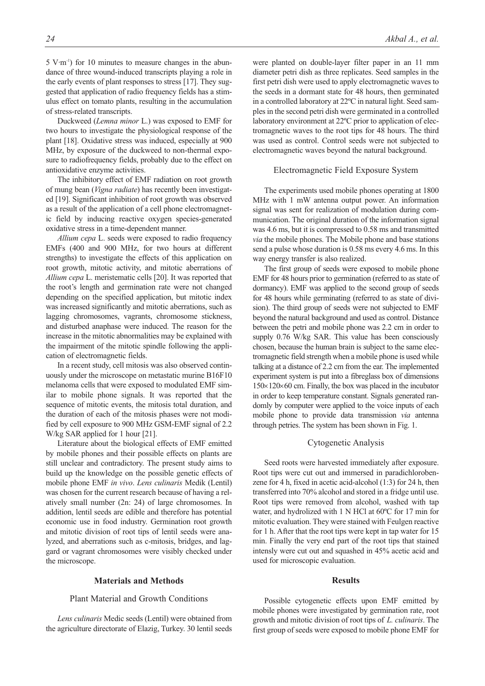5 V·m-1) for 10 minutes to measure changes in the abundance of three wound-induced transcripts playing a role in the early events of plant responses to stress [17]. They suggested that application of radio frequency fields has a stimulus effect on tomato plants, resulting in the accumulation of stress-related transcripts.

Duckweed (*Lemna minor* L.) was exposed to EMF for two hours to investigate the physiological response of the plant [18]. Oxidative stress was induced, especially at 900 MHz, by exposure of the duckweed to non-thermal exposure to radiofrequency fields, probably due to the effect on antioxidative enzyme activities.

The inhibitory effect of EMF radiation on root growth of mung bean (*Vigna radiate*) has recently been investigated [19]. Significant inhibition of root growth was observed as a result of the application of a cell phone electromagnetic field by inducing reactive oxygen species-generated oxidative stress in a time-dependent manner.

*Allium cepa* L. seeds were exposed to radio frequency EMFs (400 and 900 MHz, for two hours at different strengths) to investigate the effects of this application on root growth, mitotic activity, and mitotic aberrations of *Allium cepa* L. meristematic cells [20]. It was reported that the root's length and germination rate were not changed depending on the specified application, but mitotic index was increased significantly and mitotic aberrations, such as lagging chromosomes, vagrants, chromosome stickness, and disturbed anaphase were induced. The reason for the increase in the mitotic abnormalities may be explained with the impairment of the mitotic spindle following the application of electromagnetic fields.

In a recent study, cell mitosis was also observed continuously under the microscope on metastatic murine B16F10 melanoma cells that were exposed to modulated EMF similar to mobile phone signals. It was reported that the sequence of mitotic events, the mitosis total duration, and the duration of each of the mitosis phases were not modified by cell exposure to 900 MHz GSM-EMF signal of 2.2 W/kg SAR applied for 1 hour [21].

Literature about the biological effects of EMF emitted by mobile phones and their possible effects on plants are still unclear and contradictory. The present study aims to build up the knowledge on the possible genetic effects of mobile phone EMF *in vivo*. *Lens culinaris* Medik (Lentil) was chosen for the current research because of having a relatively small number (2n: 24) of large chromosomes. In addition, lentil seeds are edible and therefore has potential economic use in food industry. Germination root growth and mitotic division of root tips of lentil seeds were analyzed, and aberrations such as c-mitosis, bridges, and laggard or vagrant chromosomes were visibly checked under the microscope.

#### **Materials and Methods**

# Plant Material and Growth Conditions

*Lens culinaris* Medic seeds (Lentil) were obtained from the agriculture directorate of Elazig, Turkey. 30 lentil seeds were planted on double-layer filter paper in an 11 mm diameter petri dish as three replicates. Seed samples in the first petri dish were used to apply electromagnetic waves to the seeds in a dormant state for 48 hours, then germinated in a controlled laboratory at 22ºC in natural light. Seed samples in the second petri dish were germinated in a controlled laboratory environment at 22ºC prior to application of electromagnetic waves to the root tips for 48 hours. The third was used as control. Control seeds were not subjected to electromagnetic waves beyond the natural background.

## Electromagnetic Field Exposure System

The experiments used mobile phones operating at 1800 MHz with 1 mW antenna output power. An information signal was sent for realization of modulation during communication. The original duration of the information signal was 4.6 ms, but it is compressed to 0.58 ms and transmitted *via* the mobile phones. The Mobile phone and base stations send a pulse whose duration is 0.58 ms every 4.6 ms. In this way energy transfer is also realized.

The first group of seeds were exposed to mobile phone EMF for 48 hours prior to germination (referred to as state of dormancy). EMF was applied to the second group of seeds for 48 hours while germinating (referred to as state of division). The third group of seeds were not subjected to EMF beyond the natural background and used as control. Distance between the petri and mobile phone was 2.2 cm in order to supply 0.76 W/kg SAR. This value has been consciously chosen, because the human brain is subject to the same electromagnetic field strength when a mobile phone is used while talking at a distance of 2.2 cm from the ear. The implemented experiment system is put into a fibreglass box of dimensions 150×120×60 cm. Finally, the box was placed in the incubator in order to keep temperature constant. Signals generated randomly by computer were applied to the voice inputs of each mobile phone to provide data transmission *via* antenna through petries. The system has been shown in Fig. 1.

#### Cytogenetic Analysis

Seed roots were harvested immediately after exposure. Root tips were cut out and immersed in paradichlorobenzene for 4 h, fixed in acetic acid-alcohol (1:3) for 24 h, then transferred into 70% alcohol and stored in a fridge until use. Root tips were removed from alcohol, washed with tap water, and hydrolized with 1 N HCl at 60ºC for 17 min for mitotic evaluation. They were stained with Feulgen reactive for 1 h. After that the root tips were kept in tap water for 15 min. Finally the very end part of the root tips that stained intensly were cut out and squashed in 45% acetic acid and used for microscopic evaluation.

#### **Results**

Possible cytogenetic effects upon EMF emitted by mobile phones were investigated by germination rate, root growth and mitotic division of root tips of *L. culinaris*. The first group of seeds were exposed to mobile phone EMF for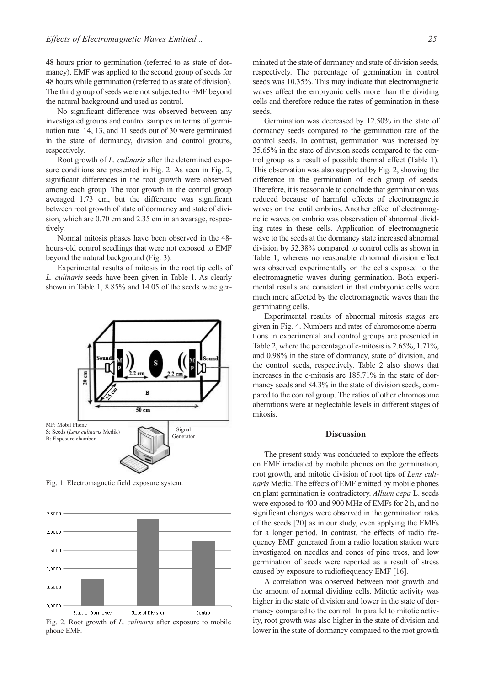48 hours prior to germination (referred to as state of dormancy). EMF was applied to the second group of seeds for 48 hours while germination (referred to as state of division). The third group of seeds were not subjected to EMF beyond the natural background and used as control.

No significant difference was observed between any investigated groups and control samples in terms of germination rate. 14, 13, and 11 seeds out of 30 were germinated in the state of dormancy, division and control groups, respectively.

Root growth of *L. culinaris* after the determined exposure conditions are presented in Fig. 2. As seen in Fig. 2, significant differences in the root growth were observed among each group. The root growth in the control group averaged 1.73 cm, but the difference was significant between root growth of state of dormancy and state of division, which are 0.70 cm and 2.35 cm in an avarage, respectively.

Normal mitosis phases have been observed in the 48 hours-old control seedlings that were not exposed to EMF beyond the natural background (Fig. 3).

Experimental results of mitosis in the root tip cells of *L. culinaris* seeds have been given in Table 1. As clearly shown in Table 1, 8.85% and 14.05 of the seeds were ger-



Fig. 1. Electromagnetic field exposure system.



Fig. 2. Root growth of *L. culinaris* after exposure to mobile phone EMF.

minated at the state of dormancy and state of division seeds, respectively. The percentage of germination in control seeds was 10.35%. This may indicate that electromagnetic waves affect the embryonic cells more than the dividing cells and therefore reduce the rates of germination in these seeds.

Germination was decreased by 12.50% in the state of dormancy seeds compared to the germination rate of the control seeds. In contrast, germination was increased by 35.65% in the state of division seeds compared to the control group as a result of possible thermal effect (Table 1). This observation was also supported by Fig. 2, showing the difference in the germination of each group of seeds. Therefore, it is reasonable to conclude that germination was reduced because of harmful effects of electromagnetic waves on the lentil embrios. Another effect of electromagnetic waves on embrio was observation of abnormal dividing rates in these cells. Application of electromagnetic wave to the seeds at the dormancy state increased abnormal division by 52.38% compared to control cells as shown in Table 1, whereas no reasonable abnormal division effect was observed experimentally on the cells exposed to the electromagnetic waves during germination. Both experimental results are consistent in that embryonic cells were much more affected by the electromagnetic waves than the germinating cells.

Experimental results of abnormal mitosis stages are given in Fig. 4. Numbers and rates of chromosome aberrations in experimental and control groups are presented in Table 2, where the percentage of c-mitosis is 2.65%, 1.71%, and 0.98% in the state of dormancy, state of division, and the control seeds, respectively. Table 2 also shows that increases in the c-mitosis are 185.71% in the state of dormancy seeds and 84.3% in the state of division seeds, compared to the control group. The ratios of other chromosome aberrations were at neglectable levels in different stages of mitosis.

# **Discussion**

The present study was conducted to explore the effects on EMF irradiated by mobile phones on the germination, root growth, and mitotic division of root tips of *Lens culinaris* Medic. The effects of EMF emitted by mobile phones on plant germination is contradictory. *Allium cepa* L. seeds were exposed to 400 and 900 MHz of EMFs for 2 h, and no significant changes were observed in the germination rates of the seeds [20] as in our study, even applying the EMFs for a longer period. In contrast, the effects of radio frequency EMF generated from a radio location station were investigated on needles and cones of pine trees, and low germination of seeds were reported as a result of stress caused by exposure to radiofrequency EMF [16].

A correlation was observed between root growth and the amount of normal dividing cells. Mitotic activity was higher in the state of division and lower in the state of dormancy compared to the control. In parallel to mitotic activity, root growth was also higher in the state of division and lower in the state of dormancy compared to the root growth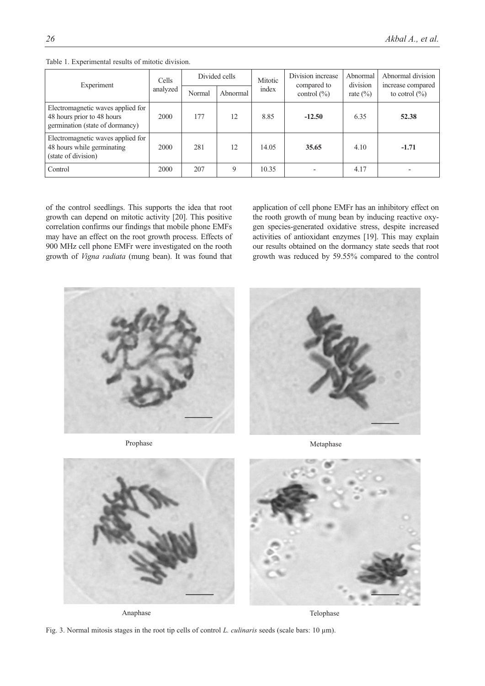| Experiment                                                                                         | Cells    |        | Divided cells | Mitotic | Division increase<br>compared to | Abnormal<br>division | Abnormal division<br>increase compared |
|----------------------------------------------------------------------------------------------------|----------|--------|---------------|---------|----------------------------------|----------------------|----------------------------------------|
|                                                                                                    | analyzed | Normal | Abnormal      | index   | control $(\% )$                  | rate $(\% )$         | to cotrol $(\% )$                      |
| Electromagnetic waves applied for<br>48 hours prior to 48 hours<br>germination (state of dormancy) | 2000     | 177    | 12            | 8.85    | $-12.50$                         | 6.35                 | 52.38                                  |
| Electromagnetic waves applied for<br>48 hours while germinating<br>(state of division)             | 2000     | 281    | 12            | 14.05   | 35.65                            | 4.10                 | $-1.71$                                |
| Control                                                                                            | 2000     | 207    | 9             | 10.35   |                                  | 4.17                 |                                        |

Table 1. Experimental results of mitotic division.

of the control seedlings. This supports the idea that root growth can depend on mitotic activity [20]. This positive correlation confirms our findings that mobile phone EMFs may have an effect on the root growth process. Effects of 900 MHz cell phone EMFr were investigated on the rooth growth of *Vigna radiata* (mung bean). It was found that

application of cell phone EMFr has an inhibitory effect on the rooth growth of mung bean by inducing reactive oxygen species-generated oxidative stress, despite increased activities of antioxidant enzymes [19]. This may explain our results obtained on the dormancy state seeds that root growth was reduced by 59.55% compared to the control



Prophase Metaphase Metaphase



Telophase Telophase Telophase

Fig. 3. Normal mitosis stages in the root tip cells of control *L. culinaris* seeds (scale bars: 10 µm).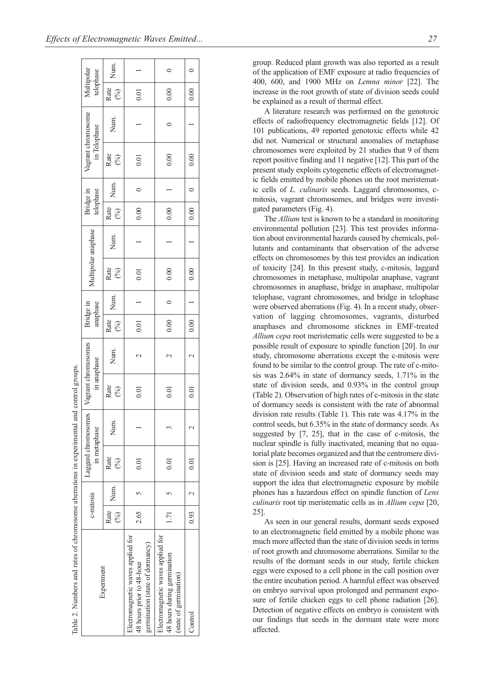| c-mitosis<br>Rate<br>(%)                                                     |      |                                     |      |                                    |      |                       |      |                     |      |                        |         |              |                    |                         |      |
|------------------------------------------------------------------------------|------|-------------------------------------|------|------------------------------------|------|-----------------------|------|---------------------|------|------------------------|---------|--------------|--------------------|-------------------------|------|
|                                                                              |      | Laggard chromosomes<br>in metaphase |      | Vagrant chromosomes<br>in anaphase |      | anaphase<br>Bridge in |      | Multipolar anaphase |      | telophase<br>Bridge in |         | in Telophase | Vagrant chromosome | Multipolar<br>telophase |      |
|                                                                              | Num. | Rate<br>$(\%)$                      | Num. | Rate<br>(%)                        | Num. | Rate<br>(%)           | Num. | Rate<br>(%)         | Num. | Rate<br>(%)            | Num.    | Rate<br>(%)  | Num.               | Rate<br>(%)             | Num. |
| 2.65<br>Electromagnetic waves applied for<br>germination (state of dormancy) |      | 0.01                                |      | 0.01                               |      | 0.01                  |      | 0.01                |      | 0.00                   |         | 0.01         |                    | 0.01                    |      |
| 1.71<br>Electromagnetic waves applied for                                    |      | 0.01                                |      | 0.01                               |      | 0.00                  |      | 0.00                |      | 0.00                   |         | 0.00         |                    | 0.00                    | 0    |
| 0.93                                                                         |      | 0.01                                |      | 0.01                               |      | 0.00                  |      | 0.00                |      | $\overline{0.00}$      | $\circ$ | 0.00         |                    | 0.00                    |      |

group. Reduced plant growth was also reported as a result of the application of EMF exposure at radio frequencies of 400, 600, and 1900 MHz on *Lemna minor* [22]. The increase in the root growth of state of division seeds could be explained as a result of thermal effect.

A literature research was performed on the genotoxic effects of radiofrequency electromagnetic fields [12]. Of 101 publications, 49 reported genotoxic effects while 42 did not. Numerical or structural anomalies of metaphase chromosomes were exploited by 21 studies that 9 of them report positive finding and 11 negative [12]. This part of the present study exploits cytogenetic effects of electromagnetic fields emitted by mobile phones on the root meristematic cells of *L. culinaris* seeds. Laggard chromosomes, cmitosis, vagrant chromosomes, and bridges were investigated parameters (Fig. 4).

The *Allium* test is known to be a standard in monitoring environmental pollution [23]. This test provides information about environmental hazards caused by chemicals, pollutants and contaminants that observation of the adverse effects on chromosomes by this test provides an indication of toxicity [24]. In this present study, c-mitosis, laggard chromosomes in metaphase, multipolar anaphase, vagrant chromosomes in anaphase, bridge in anaphase, multipolar telophase, vagrant chromosomes, and bridge in telophase were observed aberrations (Fig. 4). In a recent study, observation of lagging chromosomes, vagrants, disturbed anaphases and chromosome sticknes in EMF-treated *Allium cepa* root meristematic cells were suggested to be a possible result of exposure to spindle function [20]. In our study, chromosome aberrations except the c-mitosis were found to be similar to the control group. The rate of c-mitosis was 2.64% in state of dormancy seeds, 1.71% in the state of division seeds, and 0.93% in the control group (Table 2). Observation of high rates of c-mitosis in the state of dormancy seeds is consistent with the rate of abnormal division rate results (Table 1). This rate was 4.17% in the control seeds, but 6.35% in the state of dormancy seeds. As suggested by [7, 25], that in the case of c-mitosis, the nuclear spindle is fully inactivated, meaning that no equatorial plate becomes organized and that the centromere division is [25]. Having an increased rate of c-mitosis on both state of division seeds and state of dormancy seeds may support the idea that electromagnetic exposure by mobile phones has a hazardous effect on spindle function of *Lens culinaris* root tip meristematic cells as in *Allium cepa* [20, 25].

As seen in our general results, dormant seeds exposed to an electromagnetic field emitted by a mobile phone was much more affected than the state of division seeds in terms of root growth and chromosome aberrations. Similar to the results of the dormant seeds in our study, fertile chicken eggs were exposed to a cell phone in the call position over the entire incubation period. A harmful effect was observed on embryo survival upon prolonged and permanent exposure of fertile chicken eggs to cell phone radiation [26]. Detection of negative effects on embryo is consistent with our findings that seeds in the dormant state were more affected.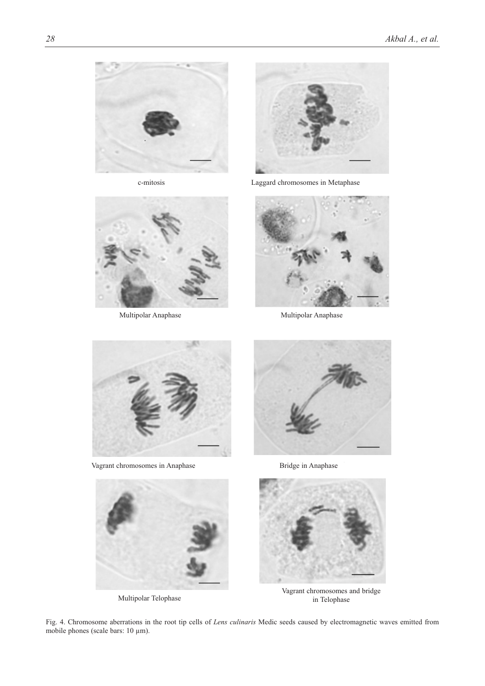

c-mitosis



Multipolar Anaphase



mitosis Laggard chromosomes in Metaphase



Multipolar Anaphase



Vagrant chromosomes in Anaphase Bridge in Anaphase Bridge in Anaphase







Multipolar Telophase Vagrant chromosomes Multipolar Telophase Vagrant chromosomes and bridge in Telophase

Fig. 4. Chromosome aberrations in the root tip cells of *Lens culinaris* Medic seeds caused by electromagnetic waves emitted from mobile phones (scale bars: 10  $\mu$ m).